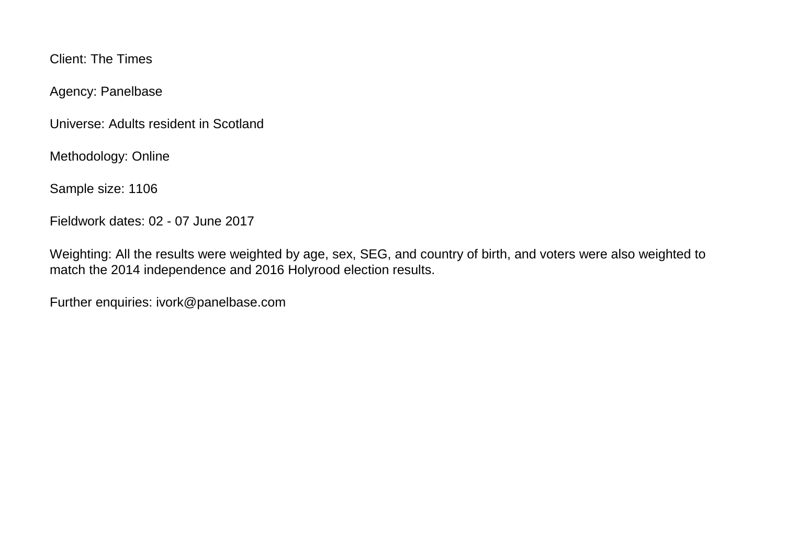Client: The Times

Agency: Panelbase

Universe: Adults resident in Scotland

Methodology: Online

Sample size: 1106

Fieldwork dates: 02 - 07 June 2017

Weighting: All the results were weighted by age, sex, SEG, and country of birth, and voters were also weighted to match the 2014 independence and 2016 Holyrood election results.

Further enquiries: ivork@panelbase.com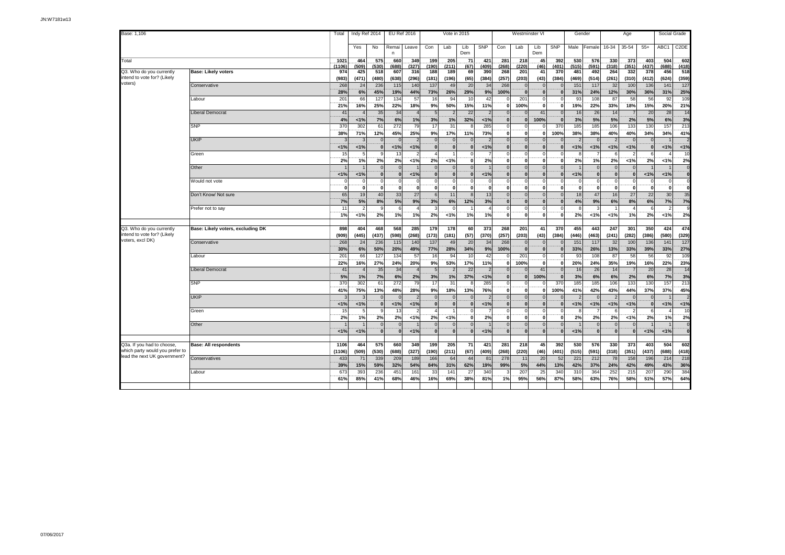| Base: 1,106                                             |                                   | Total           | Indy Ref 2014<br><b>EU Ref 2016</b><br>Vote in 2015 |                        |                      |              |                        | Westminster VI       |                        |              | Gender               |                          | Age                      |                  |                          | Social Grade         |                      |                          |              |                               |                                         |
|---------------------------------------------------------|-----------------------------------|-----------------|-----------------------------------------------------|------------------------|----------------------|--------------|------------------------|----------------------|------------------------|--------------|----------------------|--------------------------|--------------------------|------------------|--------------------------|----------------------|----------------------|--------------------------|--------------|-------------------------------|-----------------------------------------|
|                                                         |                                   |                 | Yes                                                 | No                     | Remai<br>n           | Leave        | Con                    | Lab                  | Lib<br>Dem             | <b>SNP</b>   | Con                  | Lab                      | Lib<br>Dem               | <b>SNP</b>       |                          | Male Female          | 16-34                | 35-54                    | $55+$        | ABC1                          | C <sub>2</sub> DE                       |
| <b>Total</b>                                            |                                   | 1021<br>(1106)  | 464<br>(509)                                        | 575<br>(530)           | 660                  | 349<br>(327) | 199<br>(190)           | 205<br>(211)         | 71                     | 421          | 281<br>(268)         | 218<br>(220)             | 45                       | 392<br>(401)     | 530                      | 576<br>(591)         | 330<br>(318)         | 373<br>(351)             | 403<br>(437) | 504<br>(688)                  | 602<br>(418)                            |
| Q3. Who do you currently                                | <b>Base: Likely voters</b>        | 974             | 425                                                 | 518                    | (688)<br>607         | 316          | 188                    | 189                  | (67)<br>69             | (409)<br>390 | 268                  | 201                      | (46)<br>41               | 370              | (515)<br>481             | 492                  | 264                  | 332                      | 378          | 456                           | 518                                     |
| intend to vote for? (Likely<br>voters)                  |                                   | (983)           | (471)                                               | (480)                  | (638)                | (296)        | (181)                  | (196)                | (65)                   | (384)        | (257)                | (203)                    | (43)                     | (384)            | (469)                    | (514)                | (261)                | (310)                    | (412)        | (624)                         | (359)                                   |
|                                                         | Conservative                      | 268<br>28%      | 24<br>6%                                            | 236<br>45%             | 115<br>19%           | 140<br>44%   | 137<br>73%             | 49<br>26%            | 20<br>29%              | 34<br>9%     | 268<br>100%          | $\Omega$<br>$\mathbf{0}$ | $\overline{0}$<br> 0     |                  | 151<br>31%               | 117<br>24%           | 32<br>12%            | 100<br>30%               | 136<br>36%   | 141<br>31%                    | 127<br>25%                              |
|                                                         | Labour                            | $20^{\circ}$    | 66                                                  | 127                    | 134                  | 57           | 16                     | 94                   | 10                     | 42           |                      | 201                      | $\mathbf 0$              |                  | 93                       | 108                  | 87                   | 58                       | 56           | 92                            | 109                                     |
|                                                         | Liberal Democrat                  | 21%<br>41       | 16%                                                 | 25%<br>$\overline{35}$ | 22%<br>34            | 18%          | 9%<br>5                | 50%                  | 15%<br>$\overline{22}$ | 11%          | $\Omega$             | 100%<br>$\Omega$         | $\mathbf{0}$<br>41       |                  | 19%<br>16                | 22%<br>26            | 33%<br>14            | 18%                      | 15%<br>20    | 20%<br>28                     | 21%<br>14                               |
|                                                         |                                   | 4%              | 1%                                                  | 7%                     | 6%                   | 1%           | 3%                     | 1%                   | 32%                    | 1%           | 0                    | $\mathbf{0}$             | 100%                     |                  | 3%                       | 5%                   | 5%                   | 2%                       | 5%           | 6%                            | 3%                                      |
|                                                         | <b>SNP</b>                        | 370<br>38%      | 302<br>71%                                          | 61<br>12%              | 272<br>45%           | 79<br>25%    | 17<br>9%               | 31<br>17%            | 8<br>11%               | 285<br>73%   | $\Omega$<br>$\bf{0}$ | $\Omega$<br>0            | $\mathbf{0}$             | 370<br>100%      | 185<br>38%               | 185<br>38%           | 106<br>40%           | 133<br>40%               | 130<br>34%   | 157<br>34%                    | 213<br>41%                              |
|                                                         | <b>UKIP</b>                       |                 |                                                     |                        |                      |              |                        |                      |                        |              | $\Omega$             | $\mathbf 0$              | $\mathbf{0}$             |                  | $\overline{2}$           |                      |                      |                          |              |                               |                                         |
|                                                         |                                   | 1%              | 1%                                                  | $\Omega$               | 1%                   | 1%           | $\bf{0}$               | $\Omega$             | $\mathbf{0}$           | 1%           | $\Omega$             | $\mathbf{0}$             | $\mathbf{0}$             |                  | 1%                       | 1%                   | 1%                   | 1%                       |              | 1%                            | 1%                                      |
|                                                         | Green                             | 15<br>2%        | 1%                                                  | 2%                     | 13<br>2%             | 1%           | $\Delta$<br>2%         | $< 1\%$              | $\mathbf{0}$           | 7<br>2%      | $\Omega$<br>$\Omega$ | $\Omega$<br>$\mathbf{0}$ | $\Omega$<br>$\mathbf{0}$ |                  | 8<br>2%                  | 1%                   | 6<br>2%              | 1%                       | 2%           | $< 1\%$                       | 10<br>2%                                |
|                                                         | Other                             |                 |                                                     |                        | $\mathfrak{c}$       |              | $\Omega$               | $\Omega$             | $\Omega$               |              | $\Omega$             | $\Omega$                 | $\overline{0}$           |                  |                          | $\Omega$             | $\Omega$             |                          |              |                               | $\mathbf{0}$                            |
|                                                         |                                   | 1%              | 1%                                                  | $\Omega$               | $\mathbf{r}$         | 1%           | $\Omega$               |                      | $\bf{0}$               | 1%           |                      | $\mathbf{0}$             | $\mathbf{0}$             |                  | 1%                       | $\mathbf{0}$         | $\Omega$             | $\mathbf{0}$             | 1%           | 1%                            | $\overline{0}$                          |
|                                                         | Would not vote                    | $\mathbf{0}$    | $\mathbf 0$<br>$\overline{0}$                       | $\Omega$               | $\Omega$<br>$\Omega$ | $\Omega$     | $\Omega$<br>$\Omega$   | - Ol                 | $\Omega$<br>$\Omega$   |              | $\Omega$<br>$\Omega$ | $\Omega$<br>$\Omega$     | $\Omega$<br>$\mathbf{0}$ |                  | $\Omega$<br>$\mathbf{0}$ | $\Omega$<br>$\Omega$ | $\Omega$<br>$\Omega$ | $\Omega$<br>$\Omega$     |              | $\Omega$<br>öl                | $\Omega$<br>$\overline{0}$              |
|                                                         | Don't Know/ Not sure              | 65              | 19                                                  | 40                     | 33                   | 27           | 6                      | 11                   | $\mathcal{B}$          | 13           | $\Omega$             | $\Omega$                 | $\overline{0}$           |                  | 18                       | 47                   | 16                   | 27                       | 22           | 30                            | 35                                      |
|                                                         |                                   | 7%              | $5%$                                                | 8%                     | 5%                   | 9%           | 3%                     | 6%                   | 12%                    | 3%           | $\Omega$             | $\Omega$                 | 0                        |                  | 4%                       | 9%                   | 6%                   | 8%                       | 6%           | 7%                            | 7%                                      |
|                                                         | Prefer not to say                 | 11<br>1%        | 1%                                                  | 2%                     | 1%                   | 1%           | 2%                     | 1%                   | 1%                     | 1%           | $\mathbf 0$          | $\Omega$<br>$\Omega$     | $\Omega$<br>$\mathbf{0}$ |                  | $\mathbf{R}$<br>2%       | 1%                   | 1%                   | 1%                       | 2%           | $\overline{\mathbf{z}}$<br>1% | $\mathbf{Q}$<br>2%                      |
|                                                         |                                   |                 |                                                     |                        |                      |              |                        |                      |                        |              |                      |                          |                          |                  |                          |                      |                      |                          |              |                               |                                         |
| Q3. Who do you currently<br>intend to vote for? (Likely | Base: Likely voters, excluding DK | 898             | 404                                                 | 468                    | 568                  | 285          | 179                    | 178                  | 60                     | 373          | 268                  | 201                      | 41                       | 370              | 455                      | 443                  | 247                  | 301                      | 350          | 424                           | 474                                     |
| voters, excl DK)                                        | Conservative                      | (909)<br>268    | (445)<br>24                                         | (437)<br>236           | (598)<br>115         | (268)<br>140 | (173)<br>137           | (181)<br>49          | (57)<br>20             | (370)<br>34  | (257)<br>268         | (203)<br>$\mathbf{0}$    | (43)<br>$\overline{0}$   | (384)            | (446)<br>151             | (463)<br>117         | (241)<br>32          | (282)<br>100             | (386)<br>136 | (580)<br>141                  | (329)<br>127                            |
|                                                         |                                   | 30%             | 6%                                                  | 50%                    | 20%                  | 49%          | 77%                    | 28%                  | 34%                    | 9%           | 100%                 | $\mathbf{0}$             | $\mathbf{0}$             |                  | 33%                      | 26%                  | 13%                  | 33%                      | 39%          | 33%                           | 27%                                     |
|                                                         | Labour                            | 20 <sup>1</sup> | 66                                                  | 127                    | 134                  | 57           | 16                     | 94                   | 10                     | 42           |                      | 201                      | $\mathbf 0$              |                  | 93                       | 108                  | 87                   | 58                       | 56           | 92                            | 109                                     |
|                                                         | Liberal Democrat                  | 22%<br>41       | 16%<br>$\boldsymbol{\Lambda}$                       | 27%<br>35              | 24%<br>34            | 20%          | 9%<br>5                | 53%                  | 17%<br>22              | 11%<br>2     | $\Omega$<br>$\Omega$ | 100%<br>$\Omega$         | $\mathbf{0}$<br>41       |                  | 20%<br>16                | 24%<br>26            | 35%<br>14            | 19%<br>$\overline{7}$    | 16%<br>20    | 22%<br>28                     | 23%<br>14                               |
|                                                         |                                   | 5%              | 1%                                                  | 7%                     | 6%                   | 2%           | 3%                     | 1%                   | 37%                    | 1%           | $\Omega$             | $\bf{0}$                 | 100%                     |                  | 3%                       | 6%                   | 6%                   | 2%                       | 6%           | 7%                            | 3%                                      |
|                                                         | <b>SNP</b>                        | 370             | 302                                                 | 61                     | 272                  | 79           | 17                     | 31                   |                        | 285          |                      |                          | $\Omega$                 | 370              | 185                      | 185                  | 106                  | 133                      | 130          | 157                           | 213                                     |
|                                                         |                                   | 41%             | 75%                                                 | 13%                    | 48%                  | 28%          | 9%                     | 18%                  | 13%                    | 76%          | $\mathbf 0$          | $\mathbf 0$              | 0                        | 100 <sup>%</sup> | 41%                      | 42%                  | 43%                  | 44%                      | 37%          | 37%                           | 45%                                     |
|                                                         | <b>UKIP</b>                       | <1%             | 1%                                                  | $\Omega$               | $\epsilon$<br>1%     | 1%           | $\Omega$<br>$\bf{0}$   | $\Omega$<br>$\bf{0}$ | $\mathbf{0}$           | < 1%         | $\Omega$<br>$\Omega$ | $\Omega$<br>$\mathbf{0}$ | $\Omega$<br> 0           |                  | $\mathcal{P}$<br>1%      | 1%                   | 1%                   | $\Omega$<br>1%           |              | 1%                            | 1%                                      |
|                                                         | Green                             | 15              | 5                                                   | a                      | 13                   |              | $\boldsymbol{\Lambda}$ |                      | $\Omega$               |              | $\Omega$             | $\Omega$                 | $\overline{0}$           |                  | 8                        |                      | 6                    | $\overline{\phantom{0}}$ |              | $\Delta$                      | 10                                      |
|                                                         |                                   | 2%              | 1%                                                  | 2%                     | 2%                   | 1%           | 2%                     | 1%                   | $\mathbf{0}$           | 2%           | $\Omega$             | $\Omega$                 | $\mathbf{0}$             |                  | 2%                       | 2%                   | 2%                   | 1%                       | 2%           | 1%                            | 2%                                      |
|                                                         | Other                             |                 |                                                     | $\Omega$<br>$\Omega$   |                      |              | $\Omega$               |                      | $\overline{0}$         |              |                      | $\Omega$<br>$\Omega$     | $\circ$                  |                  |                          | $\overline{0}$       | $\Omega$             | $\Omega$                 |              |                               | $\mathbf{0}$<br>$\overline{\mathbf{0}}$ |
|                                                         |                                   | 1%              | 1%                                                  |                        | $\mathbf{0}$         | 1%           |                        | $\bf{0}$             | $\Omega$               | 1%           |                      |                          | 0                        |                  | 1%                       |                      | $\mathbf{0}$         | $\mathbf{0}$             | < 1%         | $<1\%$                        |                                         |
| Q3a. If you had to choose.                              | <b>Base: All respondents</b>      | 1106            | 464                                                 | 575                    | 660                  | 349          | 199                    | 205                  | 71                     | 421          | 281                  | 218                      | 45                       | 392              | 530                      | 576                  | 330                  | 373                      | 403          | 504                           | 602                                     |
| which party would you prefer to                         |                                   | (1106)          | (509)                                               | (530)                  | (688)                | (327)        | (190)                  | (211)                | (67)                   | (409)        | (268)                | (220)                    | (46)                     | (401)            | (515)                    | (591)                | (318)                | (351)                    | (437)        | (688)                         | (418)                                   |
| lead the next UK government?                            | Conservatives                     | 433             | 71                                                  | 339                    | 209                  | 189          | 166                    | 64                   | 44                     | 81           | 278                  | 11                       | 20                       | 52               | 221                      | 212                  | 78                   | 158                      | 196          | 214                           | 218                                     |
|                                                         | abour                             | 39%<br>673      | 15%<br>393                                          | 59%<br>236             | 32%<br>451           | 54%<br>161   | 84%<br>33              | 31%<br>141           | 62%<br>27              | 19%<br>340   | 99%                  | 5%<br>207                | 44%<br>25                | 13%<br>340       | 42%<br>310               | 37%<br>364           | 24%<br>252           | 42%<br>215               | 49%<br>207   | 43%<br>290                    | 36%<br>384                              |
|                                                         |                                   | 61%             | 85%                                                 | 41%                    | 68%                  | 46%          | 16%                    | 69%                  | 38%                    | 81%          | 1%                   | 95%                      | 56%                      | 87%              | 58%                      | 63%                  | 76%                  | 58%                      | 51%          | 57%                           | 64%                                     |
|                                                         |                                   |                 |                                                     |                        |                      |              |                        |                      |                        |              |                      |                          |                          |                  |                          |                      |                      |                          |              |                               |                                         |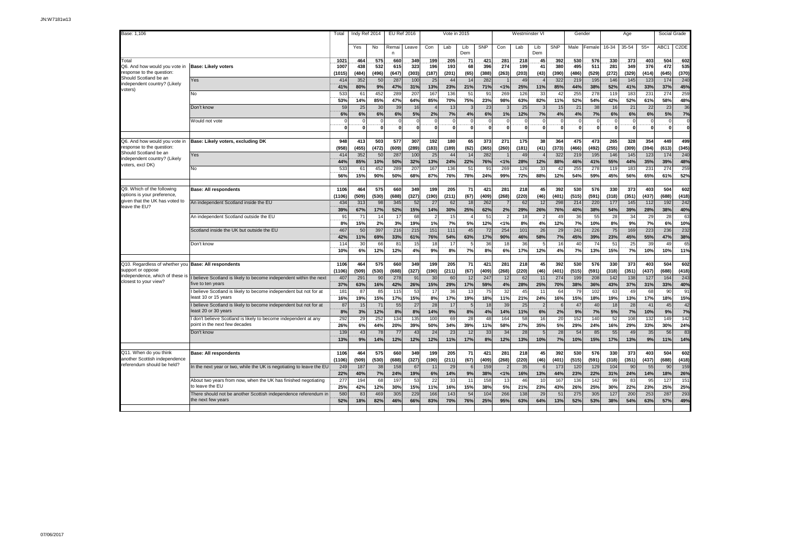| Base: 1,106                                                                           |                                                                                                                                                            | Total                        | Indy Ref 2014        |                  | <b>EU Ref 2016</b> |                   | Vote in 2015                   |                   |                               |                        | Westminster VI   |                   |                             |                   | Gender                  |                   | Age               |                   |                   | Social Grade      |                   |
|---------------------------------------------------------------------------------------|------------------------------------------------------------------------------------------------------------------------------------------------------------|------------------------------|----------------------|------------------|--------------------|-------------------|--------------------------------|-------------------|-------------------------------|------------------------|------------------|-------------------|-----------------------------|-------------------|-------------------------|-------------------|-------------------|-------------------|-------------------|-------------------|-------------------|
|                                                                                       |                                                                                                                                                            |                              | Yes                  | No               | Remai<br>n         | Leave             | Con                            | Lab               | Lib<br>Dem                    | SNP                    | Con              | Lab               | Lib<br>Dem                  | <b>SNP</b>        | Male                    | Female            | 16-34             | 35-54             | $55+$             | ABC1              | C <sub>2</sub> DE |
| Total<br>Q6. And how would you vote in                                                | <b>Base: Likely voters</b>                                                                                                                                 | 1021<br>1007                 | 464<br>438           | 575<br>532       | 660<br>615         | 349<br>323        | 199<br>196                     | 205<br>193        | 71<br>68                      | 421<br>396             | 281<br>274       | 218<br>199        | 45<br>41                    | 392<br>380        | 530<br>495              | 576<br>511        | 330<br>281        | 373<br>349        | 403<br>376        | 504<br>472        | 602<br>535        |
| response to the question<br>Should Scotland be an<br>independent country? (Likely     | Yes                                                                                                                                                        | (1015)<br>414                | (484)<br>352         | (496)<br>50      | (647)<br>287       | (303)<br>100      | (187)<br>25                    | (201)<br>44       | (65)<br>14                    | (388)<br>282           | (263)            | (203)<br>49       | (43)                        | (390)<br>322      | (486)<br>219            | (529)<br>195      | (272)<br>146      | (329)<br>145      | (414)<br>123      | (645)<br>174      | (370)<br>240      |
| voters)                                                                               | No                                                                                                                                                         | 41%<br>533<br>53%            | 80%<br>61<br>14%     | 9%<br>452<br>85% | 47%<br>289<br>47%  | 31%<br>207<br>64% | 13%<br>167<br>85%              | 23%<br>136<br>70% | 21%<br>51<br>75%              | 71%<br>91<br>23%       | 1%<br>269<br>98% | 25%<br>126<br>63% | 11%<br>33<br>82%            | 85%<br>42<br>11%  | 44%<br>255<br>52%       | 38%<br>278<br>54% | 52%<br>119<br>42% | 41%<br>183<br>52% | 33%<br>231<br>61% | 37%<br>274<br>58% | 45%<br>259<br>48% |
|                                                                                       | Don't know                                                                                                                                                 | 59<br>6%                     | 25<br>6%             | 30<br>6%         | 39<br>6%           | 16<br>5%          | 2%                             | 13<br>7%          | G<br>4%                       | 23<br>6%               | 1%               | 25<br>12%         | 3<br>7%                     | 15<br>4%          | 21<br>4%                | 38<br>7%          | 16<br>6%          | 21<br>6%          | 22<br>6%          | 23<br>5%          | 36<br>7%          |
|                                                                                       | Would not vote                                                                                                                                             | $\Omega$                     | $\Omega$             |                  | $\mathbf{0}$       | O                 | $\Omega$<br>$\mathbf{0}$       | $\Omega$          | $\Omega$<br>$\overline{0}$    | $\Omega$               | $\mathbf{0}$     | $\overline{0}$    | $\Omega$<br>$\mathbf{0}$    |                   | $\Omega$<br>$\mathbf 0$ | $\Omega$          | $\Omega$          | $\Omega$          | $\Omega$          | $\Omega$          | $\mathbf{r}$      |
| Q6. And how would you yote in<br>response to the question                             | Base: Likely voters, excluding DK                                                                                                                          | 948<br>(958)                 | 413<br>(455)         | 503<br>(472)     | 577<br>(609)       | 307<br>(289)      | 192<br>(183)                   | 180<br>(189)      | 65<br>(62)                    | 373<br>(365)           | 271<br>(260)     | 175<br>(181)      | 38<br>(41)                  | 364<br>(373)      | 475<br>(466)            | 473<br>(492)      | 265<br>(255)      | 328<br>(309)      | 354<br>(394)      | 449<br>(613)      | 499<br>(345)      |
| Should Scotland be an<br>independent country? (Likely<br>voters, excl DK)             | Yes                                                                                                                                                        | 414<br>44%                   | 352<br>85%           | 50<br>10%        | 287<br>50%         | 100<br>32%        | 25<br>13%                      | 44<br>24%         | 14<br>22%                     | 282<br>76%             | 1%               | 49<br>28%         | $\overline{4}$<br>12%       | 322<br>88%        | 219<br>46%              | 195<br>41%        | 146<br>55%        | 145<br>44%        | 123<br>35%        | 174<br>39%        | 240<br>48%        |
|                                                                                       | No                                                                                                                                                         | 533<br>56%                   | 61<br>15%            | 452<br>90%       | 289<br>50%         | 207<br>68%        | 167<br>87%                     | 136<br>76%        | 51<br>78%                     | 91<br>24%              | 269<br>99%       | 126<br>72%        | 33<br>88%                   | 42<br>12%         | 255<br>54%              | 278<br>59%        | 119<br>45%        | 183<br>56%        | 231<br>65%        | 274<br>61%        | 259<br>52%        |
| Q9. Which of the following<br>options is your preference,                             | <b>Base: All respondents</b>                                                                                                                               | 1106<br>(1106)               | 464<br>(509)         | 575<br>(530)     | 660<br>(688)       | 349<br>(327)      | 199<br>(190)                   | 205<br>(211)      | 71<br>(67)                    | 421<br>(409)           | 281<br>(268)     | 218<br>(220)      | 45<br>(46)                  | 392<br>(401)      | 530<br>(515)            | 576<br>(591)      | 330<br>(318)      | 373<br>(351)      | 403<br>(437)      | 504<br>(688)      | 602<br>(418)      |
| given that the UK has voted to<br>leave the EU?                                       | An independent Scotland inside the EU                                                                                                                      | 434<br>39%                   | 313<br>67%           | 98<br>17%        | 345<br>52%         | 52<br>15%         | 27<br>14%                      | 62<br>30%         | 18<br>25%                     | 262<br>62%             | 2%               | 62<br>29%         | 12<br>26%                   | 298<br>76%        | 214<br>40%              | 220<br>38%        | 177<br>54%        | 145<br>39%        | 112<br>28%        | 192<br>38%        | 242<br>40%        |
|                                                                                       | An independent Scotland outside the EU                                                                                                                     | 91<br>8%                     | 71<br>15%            | 14<br>2%         | 17<br>3%           | 68<br>19%         | $\overline{\phantom{a}}$<br>1% | 15<br>7%          | $\overline{4}$<br>5%          | 51<br>12%              | -2<br>1%         | 18<br>8%          | $\overline{2}$<br>4%        | 49<br>12%         | 36<br>7%                | 55<br>10%         | 28<br>8%          | 34<br>9%          | 29<br>7%          | 28<br>6%          | 63<br>10%         |
|                                                                                       | Scotland inside the UK but outside the EU                                                                                                                  | 467<br>42%<br>114            | 50<br>11%            | 397<br>69%       | 216<br>33%         | 215<br>61%<br>15  | 151<br>76%                     | 111<br>54%<br>17  | 45<br>63%<br>$5 \overline{5}$ | 72<br>17%              | 254<br>90%       | 101<br>46%        | 26<br>58%<br>5              | 29<br>7%<br>16    | 241<br>45%              | 226<br>39%<br>74  | 75<br>23%         | 169<br>45%        | 223<br>55%        | 236<br>47%<br>49  | 232<br>38%        |
|                                                                                       | Don't know                                                                                                                                                 | 10%                          | 3 <sub>0</sub><br>6% | 66<br>12%        | 81<br>12%          | 4%                | 18<br>9%                       | 8%                | 7%                            | 36<br>8%               | 18<br>6%         | 36<br>17%         | 12%                         | 4%                | 40<br>7%                | 13%               | 51<br>15%         | 25<br>7%          | 39<br>10%         | 10%               | 65<br>11%         |
| Q10. Regardless of whether you<br>support or oppose                                   | <b>Base: All respondents</b>                                                                                                                               | 1106<br>(1106)               | 464<br>(509)         | 575<br>(530)     | 660<br>(688)       | 349<br>(327)      | 199<br>(190)                   | 205<br>(211)      | 71<br>(67)                    | 421<br>(409)           | 281<br>(268)     | 218<br>(220)      | 45<br>(46)                  | 392<br>(401)      | 530<br>(515)            | 576<br>(591)      | 330<br>(318)      | 373<br>(351)      | 403<br>(437)      | 504<br>(688)      | 602<br>(418)      |
| independence, which of these is<br>closest to your view?                              | believe Scotland is likely to become independent within the next<br>ive to ten years                                                                       | 407<br>37%                   | 291<br>63%           | 90<br>16%        | 278<br>42%         | 91<br>26%         | 30<br>15%                      | 60<br>29%         | 12<br>17%                     | 247<br>59%             | 12<br>4%         | 62<br>28%         | 11<br>25%                   | 274<br><b>70%</b> | 199<br>38%              | 208<br>36%        | 142<br>43%        | 138<br>37%        | 127<br>31%        | 164<br>33%        | 243<br>40%        |
|                                                                                       | believe Scotland is likely to become independent but not for at<br>least 10 or 15 years<br>believe Scotland is likely to become independent but not for at | 18 <sup>1</sup><br>16%<br>87 | 87<br>19%<br>15      | 85<br>15%<br>71  | 115<br>17%<br>55   | 53<br>15%<br>27   | 17<br>8%<br>28                 | 36<br>17%<br>17   | 13<br>19%<br>5                | 75<br>18%<br>18        | 32<br>11%<br>39  | 45<br>21%<br>25   | 11<br>24%<br>$\overline{2}$ | 64<br>16%         | 79<br>15%<br>47         | 102<br>18%<br>40  | 63<br>19%<br>18   | 49<br>13%<br>28   | 68<br>17%<br>41   | 90<br>18%<br>45   | 91<br>15%<br>42   |
|                                                                                       | least 20 or 30 years<br>don't believe Scotland is likely to become independent at any                                                                      | 8%<br>292                    | 3%<br>29             | 12%<br>252       | 8%<br>134          | 8%<br>135         | 14%<br>100                     | 9%<br>69          | 8%<br>28                      | 4%<br>48               | 14%<br>164       | 11%<br>58         | 6%<br>16                    | 2%<br>20          | 9%<br>152               | 7%<br>140         | 5%<br>52          | 7%<br>108         | 10%<br>132        | 9%<br>149         | 7%<br>142         |
|                                                                                       | point in the next few decades<br>Don't know                                                                                                                | 26%<br>139                   | 6%<br>43             | 44%<br>78        | 20%<br>77          | 39%<br>43         | 50%<br>24                      | 34%<br>23         | 39%<br>12                     | 11%<br>33              | 58%<br>34        | 27%<br>28         | 35%<br>5                    | 5%<br>28          | 29%<br>54               | 24%<br>85         | 16%<br>55         | 29%<br>49         | 33%<br>35         | 30%<br>56         | 24%<br>83         |
|                                                                                       |                                                                                                                                                            | 13%                          | 9%                   | 14%              | 12%                | 12%               | 12%                            | 11%               | 17%                           | 8%                     | 12%              | 13%               | 10%                         | 7%                | 10%                     | 15%               | 17%               | 13%               | 9%                | 11%               | 14%               |
| Q11. When do you think<br>another Scottish independence<br>referendum should be held? | <b>Base: All respondents</b>                                                                                                                               | 1106<br>(1106)               | 464<br>(509)         | 575<br>(530)     | 660<br>(688)       | 349<br>(327)      | 199<br>(190)                   | 205<br>(211)      | 71<br>(67)                    | 421<br>(409)           | 281<br>(268)     | 218<br>(220)      | 45<br>(46)                  | 392<br>(401       | 530<br>(515)            | 576<br>(591)      | 330<br>(318)      | 373<br>(351)      | 403<br>(437)      | 504<br>(688)      | 602<br>(418)      |
|                                                                                       | In the next year or two, while the UK is negotiating to leave the EU<br>About two years from now, when the UK has finished negotiating                     | 249<br>22%<br>277            | 187<br>40%<br>194    | 38<br>7%<br>68   | 158<br>24%<br>197  | 67<br>19%<br>53   | 11<br>6%<br>22                 | 29<br>14%<br>33   | 6<br>9%<br>11                 | 159<br>38%<br>158      | 1%<br>13         | 35<br>16%<br>46   | 6<br>13%<br>10              | 173<br>44%<br>167 | 120<br>23%<br>136       | 129<br>22%<br>142 | 104<br>31%<br>99  | 90<br>24%<br>83   | 55<br>14%<br>95   | 90<br>18%<br>127  | 159<br>26%<br>151 |
|                                                                                       | to leave the EU<br>There should not be another Scottish independence referendum in                                                                         | 25%<br>580                   | 42%<br>83            | 12%<br>469       | 30%<br>305         | 15%<br>229        | 11%<br>166                     | 16%<br>143        | 15%<br>54                     | 38%<br>10 <sup>2</sup> | 5%<br>266        | 21%<br>138        | 23%<br>29                   | 43%<br>51         | 26%<br>275              | 25%<br>305        | 30%<br>127        | 22%<br>200        | 23%<br>253        | 25%<br>287        | 25%<br>293        |
|                                                                                       | the next few years                                                                                                                                         | 52%                          | 18%                  | 82%              | 46%                | 66%               | 83%                            | 70%               | 76%                           | 25%                    | 95%              | 63%               | 64%                         | 13%               | 52%                     | 53%               | 38%               | 54%               | 63%               | 57%               | 49%               |